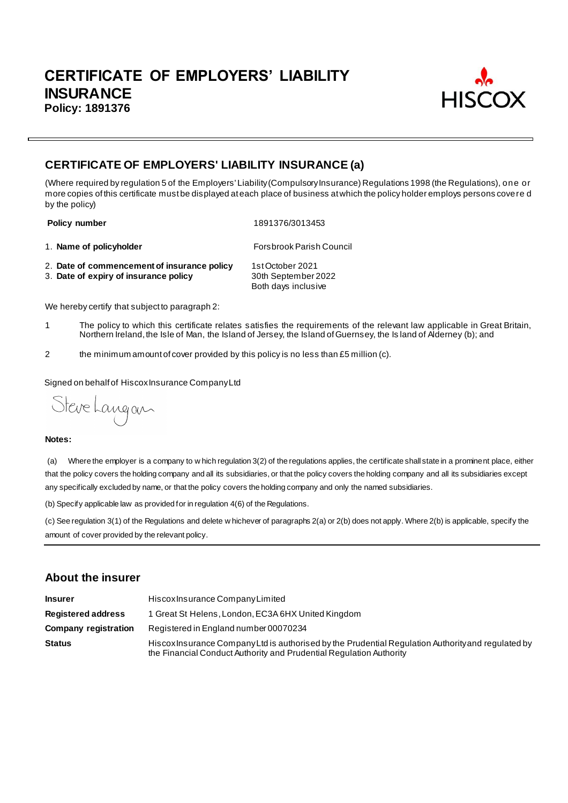

# **CERTIFICATE OF EMPLOYERS' LIABILITY INSURANCE (a)**

(Where required by regulation 5 of the Employers' Liability (Compulsory Insurance) Regulations 1998 (the Regulations), one or more copies of this certificate must be displayed at each place of business at which the policy holder employs persons covere d by the policy)

**Policy number** 1891376/3013453

1. **Name of policyholder Forsbrook Parish Council** 

- 2. **Date of commencement of insurance policy** 1st October 2021<br>3. **Date of expiry of insurance policy** 30th September 2022
- 3. Date of expiry of insurance policy

Both days inclusive

We hereby certify that subject to paragraph 2:

- 1 The policy to which this certificate relates satisfies the requirements of the relevant law applicable in Great Britain, Northern Ireland, the Isle of Man, the Island of Jersey, the Island of Guernsey, the Is land of Alderney (b); and
- 2 the minimum amount of cover provided by this policy is no less than £5 million (c).

Signed on behalf of Hiscox Insurance Company Ltd

Steve Langan

#### **Notes:**

(a) Where the employer is a company to w hich regulation 3(2) of the regulations applies, the certificate shall state in a prominent place, either that the policy covers the holding company and all its subsidiaries, or that the policy covers the holding company and all its subsidiaries except any specifically excluded by name, or that the policy covers the holding company and only the named subsidiaries.

(b) Specify applicable law as provided for in regulation 4(6) of the Regulations.

(c) See regulation 3(1) of the Regulations and delete w hichever of paragraphs 2(a) or 2(b) does not apply. Where 2(b) is applicable, specify the amount of cover provided by the relevant policy.

## **About the insurer**

| <b>Insurer</b>              | Hiscox Insurance Company Limited                                                                                                                                          |  |  |
|-----------------------------|---------------------------------------------------------------------------------------------------------------------------------------------------------------------------|--|--|
| <b>Registered address</b>   | 1 Great St Helens, London, EC3A 6HX United Kingdom                                                                                                                        |  |  |
| <b>Company registration</b> | Registered in England number 00070234                                                                                                                                     |  |  |
| <b>Status</b>               | Hiscox Insurance Company Ltd is authorised by the Prudential Regulation Authority and regulated by<br>the Financial Conduct Authority and Prudential Regulation Authority |  |  |